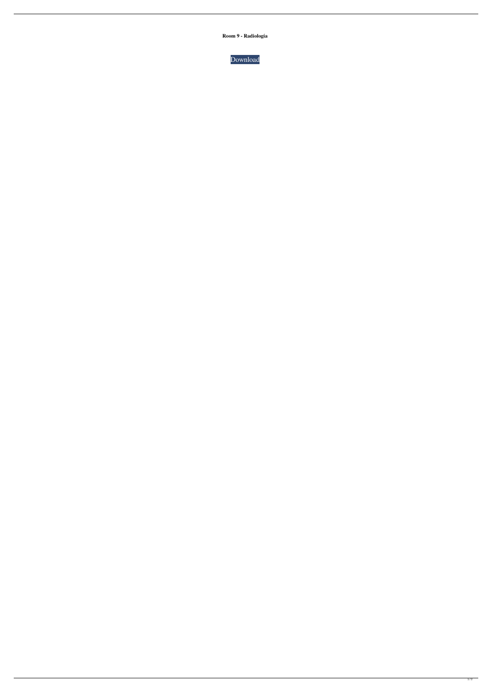**Room 9 - Radiología**